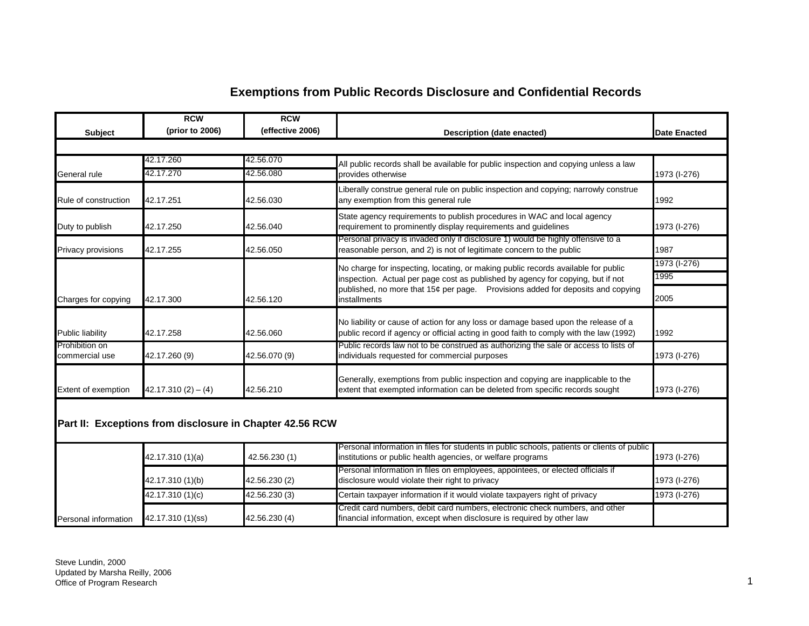## **Exemptions from Public Records Disclosure and Confidential Records**

|                                  | <b>RCW</b>                | <b>RCW</b>                                               |                                                                                                                                                                              |                     |
|----------------------------------|---------------------------|----------------------------------------------------------|------------------------------------------------------------------------------------------------------------------------------------------------------------------------------|---------------------|
| <b>Subject</b>                   | (prior to 2006)           | (effective 2006)                                         | <b>Description (date enacted)</b>                                                                                                                                            | <b>Date Enacted</b> |
|                                  |                           |                                                          |                                                                                                                                                                              |                     |
|                                  | 42.17.260                 | 42.56.070                                                | All public records shall be available for public inspection and copying unless a law                                                                                         |                     |
| General rule                     | 42.17.270                 | 42.56.080                                                | provides otherwise                                                                                                                                                           | 1973 (I-276)        |
| Rule of construction             | 42.17.251                 | 42.56.030                                                | Liberally construe general rule on public inspection and copying; narrowly construe<br>any exemption from this general rule                                                  | 1992                |
| Duty to publish                  | 42.17.250                 | 42.56.040                                                | State agency requirements to publish procedures in WAC and local agency<br>requirement to prominently display requirements and guidelines                                    | 1973 (I-276)        |
| Privacy provisions               | 42.17.255                 | 42.56.050                                                | Personal privacy is invaded only if disclosure 1) would be highly offensive to a<br>reasonable person, and 2) is not of legitimate concern to the public                     | 1987                |
|                                  |                           |                                                          | No charge for inspecting, locating, or making public records available for public                                                                                            | 1973 (I-276)        |
|                                  |                           |                                                          | inspection. Actual per page cost as published by agency for copying, but if not                                                                                              | 1995                |
| Charges for copying              | 42.17.300                 | 42.56.120                                                | published, no more that 15¢ per page. Provisions added for deposits and copying<br>installments                                                                              | 2005                |
| <b>Public liability</b>          | 42.17.258                 | 42.56.060                                                | No liability or cause of action for any loss or damage based upon the release of a<br>public record if agency or official acting in good faith to comply with the law (1992) | 1992                |
| Prohibition on<br>commercial use | 42.17.260 (9)             | 42.56.070 (9)                                            | Public records law not to be construed as authorizing the sale or access to lists of<br>individuals requested for commercial purposes                                        | 1973 (I-276)        |
| Extent of exemption              | $42.17.310(2) - (4)$      | 42.56.210                                                | Generally, exemptions from public inspection and copying are inapplicable to the<br>extent that exempted information can be deleted from specific records sought             | 1973 (I-276)        |
|                                  |                           | Part II: Exceptions from disclosure in Chapter 42.56 RCW |                                                                                                                                                                              |                     |
|                                  | 42.17.310 (1)(a)          | 42.56.230 (1)                                            | Personal information in files for students in public schools, patients or clients of public<br>institutions or public health agencies, or welfare programs                   | 1973 (I-276)        |
|                                  | 42.17.310 (1)(b)          | 42.56.230 (2)                                            | Personal information in files on employees, appointees, or elected officials if<br>disclosure would violate their right to privacy                                           | 1973 (I-276)        |
|                                  | $\sqrt{42.17.310}$ (1)(c) | 42.56.230 (3)                                            | Certain taxpayer information if it would violate taxpayers right of privacy                                                                                                  | 1973 (I-276)        |
| Personal information             | 42.17.310 (1)(ss)         | 42.56.230 (4)                                            | Credit card numbers, debit card numbers, electronic check numbers, and other<br>financial information, except when disclosure is required by other law                       |                     |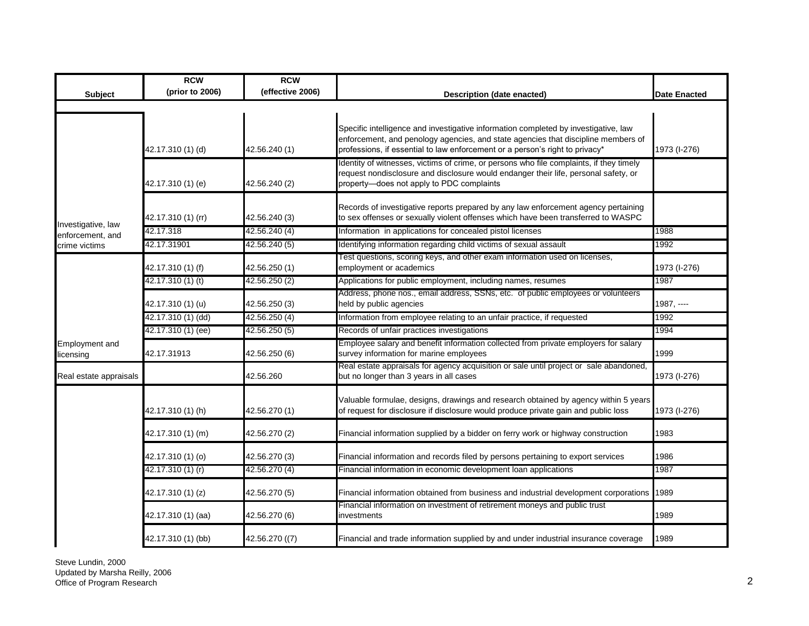|                                    | <b>RCW</b>         | <b>RCW</b>       |                                                                                                                                                                                                                                                          |                     |
|------------------------------------|--------------------|------------------|----------------------------------------------------------------------------------------------------------------------------------------------------------------------------------------------------------------------------------------------------------|---------------------|
| <b>Subject</b>                     | (prior to 2006)    | (effective 2006) | Description (date enacted)                                                                                                                                                                                                                               | <b>Date Enacted</b> |
|                                    |                    |                  |                                                                                                                                                                                                                                                          |                     |
|                                    | 42.17.310 (1) (d)  | 42.56.240 (1)    | Specific intelligence and investigative information completed by investigative, law<br>enforcement, and penology agencies, and state agencies that discipline members of<br>professions, if essential to law enforcement or a person's right to privacy* | 1973 (I-276)        |
|                                    | 42.17.310 (1) (e)  | 42.56.240 (2)    | Identity of witnesses, victims of crime, or persons who file complaints, if they timely<br>request nondisclosure and disclosure would endanger their life, personal safety, or<br>property-does not apply to PDC complaints                              |                     |
| Investigative, law                 | 42.17.310 (1) (rr) | 42.56.240 (3)    | Records of investigative reports prepared by any law enforcement agency pertaining<br>to sex offenses or sexually violent offenses which have been transferred to WASPC                                                                                  |                     |
| enforcement, and                   | 42.17.318          | 42.56.240 (4)    | Information in applications for concealed pistol licenses                                                                                                                                                                                                | 1988                |
| crime victims                      | 42.17.31901        | 42.56.240 (5)    | Identifying information regarding child victims of sexual assault                                                                                                                                                                                        | 1992                |
|                                    | 42.17.310 (1) (f)  | 42.56.250 (1)    | Test questions, scoring keys, and other exam information used on licenses,<br>employment or academics                                                                                                                                                    | 1973 (I-276)        |
|                                    | 42.17.310 (1) (t)  | 42.56.250 (2)    | Applications for public employment, including names, resumes                                                                                                                                                                                             | 1987                |
|                                    | 42.17.310 (1) (u)  | 42.56.250 (3)    | Address, phone nos., email address, SSNs, etc. of public employees or volunteers<br>held by public agencies                                                                                                                                              | 1987, ----          |
|                                    | 42.17.310 (1) (dd) | 42.56.250 (4)    | Information from employee relating to an unfair practice, if requested                                                                                                                                                                                   | 1992                |
|                                    | 42.17.310 (1) (ee) | 42.56.250 (5)    | Records of unfair practices investigations                                                                                                                                                                                                               | 1994                |
| <b>Employment</b> and<br>licensing | 42.17.31913        | 42.56.250 (6)    | Employee salary and benefit information collected from private employers for salary<br>survey information for marine employees                                                                                                                           | 1999                |
| Real estate appraisals             |                    | 42.56.260        | Real estate appraisals for agency acquisition or sale until project or sale abandoned,<br>but no longer than 3 years in all cases                                                                                                                        | 1973 (I-276)        |
|                                    | 42.17.310 (1) (h)  | 42.56.270 (1)    | Valuable formulae, designs, drawings and research obtained by agency within 5 years<br>of request for disclosure if disclosure would produce private gain and public loss                                                                                | 1973 (I-276)        |
|                                    | 42.17.310 (1) (m)  | 42.56.270 (2)    | Financial information supplied by a bidder on ferry work or highway construction                                                                                                                                                                         | 1983                |
|                                    | 42.17.310 (1) (o)  | 42.56.270 (3)    | Financial information and records filed by persons pertaining to export services                                                                                                                                                                         | 1986                |
|                                    | 42.17.310 (1) (r)  | 42.56.270 (4)    | Financial information in economic development loan applications                                                                                                                                                                                          | 1987                |
|                                    | 42.17.310 (1) (z)  | 42.56.270 (5)    | Financial information obtained from business and industrial development corporations                                                                                                                                                                     | 1989                |
|                                    | 42.17.310 (1) (aa) | 42.56.270 (6)    | Financial information on investment of retirement moneys and public trust<br>investments                                                                                                                                                                 | 1989                |
|                                    | 42.17.310 (1) (bb) | 42.56.270 ((7)   | Financial and trade information supplied by and under industrial insurance coverage                                                                                                                                                                      | 1989                |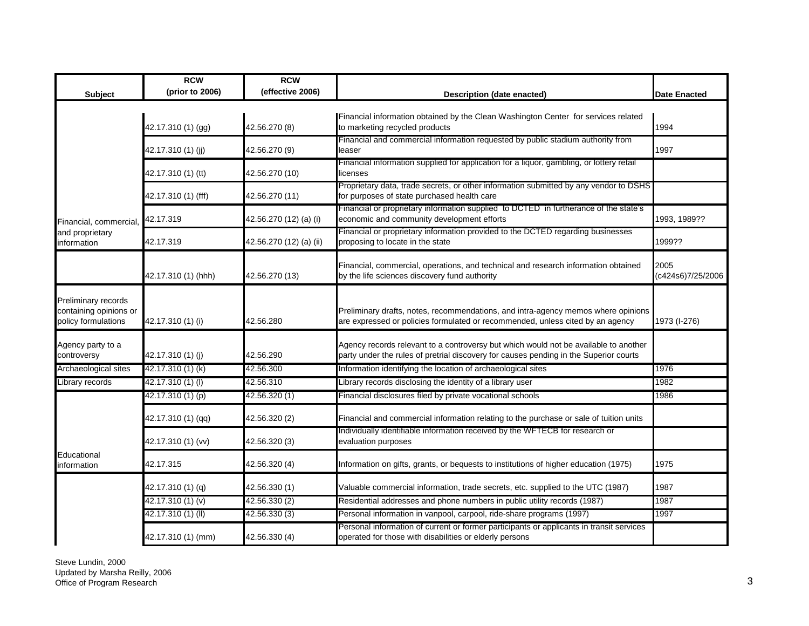| <b>Subject</b>                                                       | <b>RCW</b><br>(prior to 2006) | <b>RCW</b><br>(effective 2006) | Description (date enacted)                                                                                                                                                    | <b>Date Enacted</b>       |
|----------------------------------------------------------------------|-------------------------------|--------------------------------|-------------------------------------------------------------------------------------------------------------------------------------------------------------------------------|---------------------------|
|                                                                      |                               |                                |                                                                                                                                                                               |                           |
|                                                                      | 42.17.310 (1) (gg)            | 42.56.270 (8)                  | Financial information obtained by the Clean Washington Center for services related<br>to marketing recycled products                                                          | 1994                      |
|                                                                      | 42.17.310 (1) (jj)            | 42.56.270 (9)                  | Financial and commercial information requested by public stadium authority from<br>leaser                                                                                     | 1997                      |
|                                                                      | 42.17.310 (1) (tt)            | 42.56.270 (10)                 | Financial information supplied for application for a liquor, gambling, or lottery retail<br>licenses                                                                          |                           |
|                                                                      | 42.17.310 (1) (fff)           | 42.56.270 (11)                 | Proprietary data, trade secrets, or other information submitted by any vendor to DSHS<br>for purposes of state purchased health care                                          |                           |
| Financial, commercial,                                               | 42.17.319                     | 42.56.270 (12) (a) (i)         | Financial or proprietary information supplied to DCTED in furtherance of the state's<br>economic and community development efforts                                            | 1993, 1989??              |
| and proprietary<br>information                                       | 42.17.319                     | 42.56.270 (12) (a) (ii)        | Financial or proprietary information provided to the DCTED regarding businesses<br>proposing to locate in the state                                                           | 1999??                    |
|                                                                      | 42.17.310 (1) (hhh)           | 42.56.270 (13)                 | Financial, commercial, operations, and technical and research information obtained<br>by the life sciences discovery fund authority                                           | 2005<br>(c424s6)7/25/2006 |
| Preliminary records<br>containing opinions or<br>policy formulations | 42.17.310 (1) (i)             | 42.56.280                      | Preliminary drafts, notes, recommendations, and intra-agency memos where opinions<br>are expressed or policies formulated or recommended, unless cited by an agency           | 1973 (I-276)              |
| Agency party to a<br>controversy                                     | 42.17.310 (1) (j)             | 42.56.290                      | Agency records relevant to a controversy but which would not be available to another<br>party under the rules of pretrial discovery for causes pending in the Superior courts |                           |
| Archaeological sites                                                 | 42.17.310 (1) (k)             | 42.56.300                      | Information identifying the location of archaeological sites                                                                                                                  | 1976                      |
| Library records                                                      | 42.17.310 (1) (l)             | 42.56.310                      | Library records disclosing the identity of a library user                                                                                                                     | 1982                      |
|                                                                      | 42.17.310 (1) (p)             | 42.56.320 (1)                  | Financial disclosures filed by private vocational schools                                                                                                                     | 1986                      |
|                                                                      | 42.17.310 (1) (qq)            | 42.56.320 (2)                  | Financial and commercial information relating to the purchase or sale of tuition units                                                                                        |                           |
|                                                                      | 42.17.310 (1) (vv)            | 42.56.320 (3)                  | Individually identifiable information received by the WFTECB for research or<br>evaluation purposes                                                                           |                           |
| Educational<br>information                                           | 42.17.315                     | 42.56.320 (4)                  | Information on gifts, grants, or bequests to institutions of higher education (1975)                                                                                          | 1975                      |
|                                                                      | 42.17.310 (1) (q)             | 42.56.330 (1)                  | Valuable commercial information, trade secrets, etc. supplied to the UTC (1987)                                                                                               | 1987                      |
|                                                                      | 42.17.310 (1) (v)             | 42.56.330 (2)                  | Residential addresses and phone numbers in public utility records (1987)                                                                                                      | 1987                      |
|                                                                      | 42.17.310 (1) (II)            | 42.56.330 (3)                  | Personal information in vanpool, carpool, ride-share programs (1997)                                                                                                          | 1997                      |
|                                                                      | 42.17.310 (1) (mm)            | 42.56.330 (4)                  | Personal information of current or former participants or applicants in transit services<br>operated for those with disabilities or elderly persons                           |                           |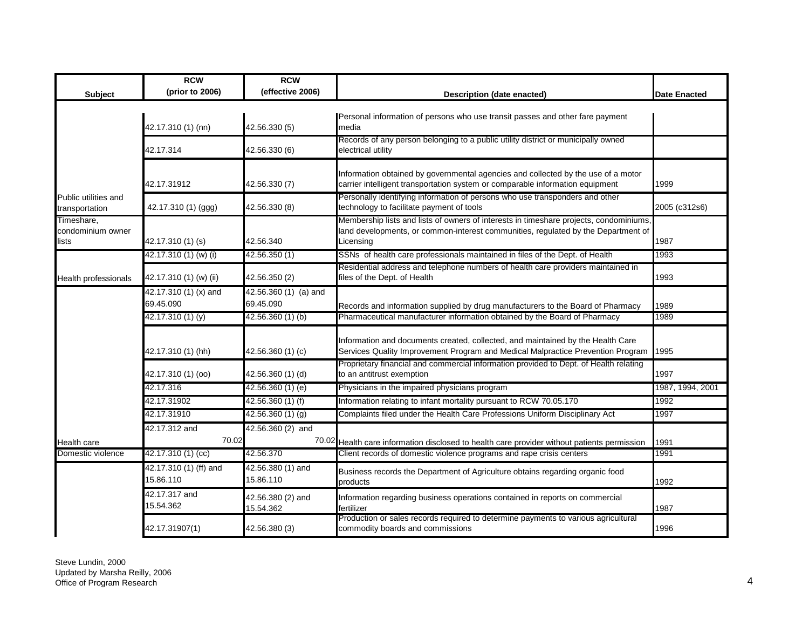|                                  | <b>RCW</b>                          | <b>RCW</b>                     |                                                                                                                                                                     |                     |
|----------------------------------|-------------------------------------|--------------------------------|---------------------------------------------------------------------------------------------------------------------------------------------------------------------|---------------------|
| Subject                          | (prior to 2006)                     | (effective 2006)               | Description (date enacted)                                                                                                                                          | <b>Date Enacted</b> |
|                                  |                                     |                                |                                                                                                                                                                     |                     |
|                                  |                                     |                                | Personal information of persons who use transit passes and other fare payment                                                                                       |                     |
|                                  | 42.17.310 (1) (nn)                  | 42.56.330 (5)                  | media                                                                                                                                                               |                     |
|                                  | 42.17.314                           | 42.56.330 (6)                  | Records of any person belonging to a public utility district or municipally owned<br>electrical utility                                                             |                     |
|                                  |                                     |                                |                                                                                                                                                                     |                     |
|                                  |                                     |                                | Information obtained by governmental agencies and collected by the use of a motor                                                                                   |                     |
|                                  | 42.17.31912                         | 42.56.330 (7)                  | carrier intelligent transportation system or comparable information equipment                                                                                       | 1999                |
| Public utilities and             |                                     |                                | Personally identifying information of persons who use transponders and other                                                                                        |                     |
| transportation                   | 42.17.310 (1) (ggg)                 | 42.56.330 (8)                  | technology to facilitate payment of tools                                                                                                                           | 2005 (c312s6)       |
| Timeshare,                       |                                     |                                | Membership lists and lists of owners of interests in timeshare projects, condominiums,                                                                              |                     |
| condominium owner<br>lists       | 42.17.310 (1) (s)                   | 42.56.340                      | land developments, or common-interest communities, regulated by the Department of<br>Licensing                                                                      | 1987                |
|                                  | 42.17.310 (1) (w) (i)               | 42.56.350 (1)                  | SSNs of health care professionals maintained in files of the Dept. of Health                                                                                        | 1993                |
|                                  |                                     |                                | Residential address and telephone numbers of health care providers maintained in                                                                                    |                     |
| Health professionals             | 42.17.310 (1) (w) (ii)              | 42.56.350 (2)                  | files of the Dept. of Health                                                                                                                                        | 1993                |
|                                  | 42.17.310 (1) (x) and               | 42.56.360 (1) (a) and          |                                                                                                                                                                     |                     |
|                                  | 69.45.090                           | 69.45.090                      | Records and information supplied by drug manufacturers to the Board of Pharmacy                                                                                     | 1989                |
|                                  | 42.17.310 (1) (y)                   | 42.56.360 (1) (b)              | Pharmaceutical manufacturer information obtained by the Board of Pharmacy                                                                                           | 1989                |
|                                  |                                     |                                |                                                                                                                                                                     |                     |
|                                  |                                     |                                | Information and documents created, collected, and maintained by the Health Care                                                                                     |                     |
|                                  | 42.17.310 (1) (hh)                  | 42.56.360 (1) (c)              | Services Quality Improvement Program and Medical Malpractice Prevention Program                                                                                     | 1995                |
|                                  | 42.17.310 (1) (oo)                  | 42.56.360 (1) (d)              | Proprietary financial and commercial information provided to Dept. of Health relating<br>to an antitrust exemption                                                  | 1997                |
|                                  | 42.17.316                           | 42.56.360 (1) (e)              | Physicians in the impaired physicians program                                                                                                                       | 1987, 1994, 2001    |
|                                  | 42.17.31902                         | 42.56.360 (1) (f)              | Information relating to infant mortality pursuant to RCW 70.05.170                                                                                                  | 1992                |
|                                  | 42.17.31910                         | 42.56.360 (1) (g)              | Complaints filed under the Health Care Professions Uniform Disciplinary Act                                                                                         | 1997                |
|                                  | 42.17.312 and                       | 42.56.360 (2) and              |                                                                                                                                                                     |                     |
|                                  | 70.02                               |                                |                                                                                                                                                                     |                     |
| Health care<br>Domestic violence | 42.17.310 (1) (cc)                  | 42.56.370                      | 70.02 Health care information disclosed to health care provider without patients permission<br>Client records of domestic violence programs and rape crisis centers | 1991<br>1991        |
|                                  |                                     |                                |                                                                                                                                                                     |                     |
|                                  | 42.17.310 (1) (ff) and<br>15.86.110 | 42.56.380 (1) and<br>15.86.110 | Business records the Department of Agriculture obtains regarding organic food                                                                                       |                     |
|                                  |                                     |                                | products                                                                                                                                                            | 1992                |
|                                  | 42.17.317 and<br>15.54.362          | 42.56.380 (2) and              | Information regarding business operations contained in reports on commercial                                                                                        |                     |
|                                  |                                     | 15.54.362                      | fertilizer<br>Production or sales records required to determine payments to various agricultural                                                                    | 1987                |
|                                  | 42.17.31907(1)                      | 42.56.380 (3)                  | commodity boards and commissions                                                                                                                                    | 1996                |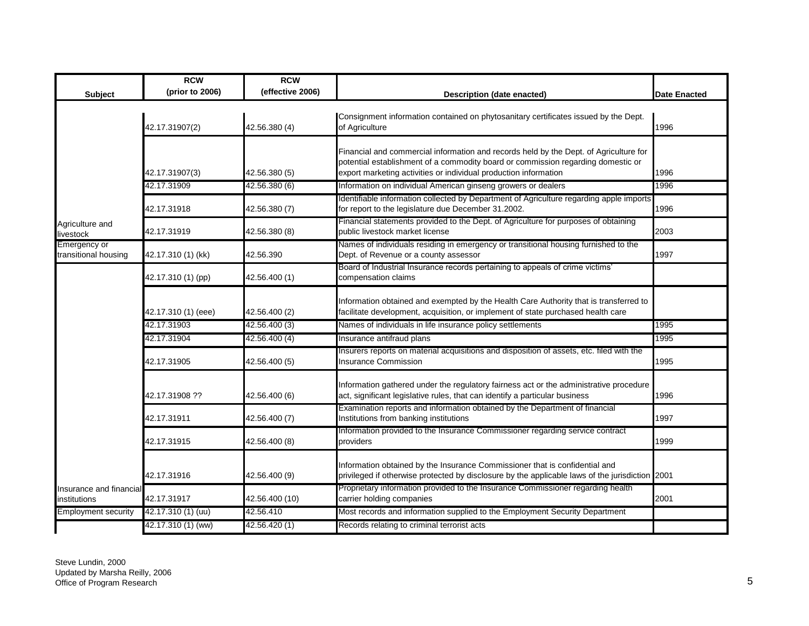|                                         | <b>RCW</b>          | <b>RCW</b>       |                                                                                                                                                                                                                                               |                     |
|-----------------------------------------|---------------------|------------------|-----------------------------------------------------------------------------------------------------------------------------------------------------------------------------------------------------------------------------------------------|---------------------|
| <b>Subject</b>                          | (prior to 2006)     | (effective 2006) | <b>Description (date enacted)</b>                                                                                                                                                                                                             | <b>Date Enacted</b> |
|                                         | 42.17.31907(2)      | 42.56.380 (4)    | Consignment information contained on phytosanitary certificates issued by the Dept.<br>of Agriculture                                                                                                                                         | 1996                |
|                                         | 42.17.31907(3)      | 42.56.380 (5)    | Financial and commercial information and records held by the Dept. of Agriculture for<br>potential establishment of a commodity board or commission regarding domestic or<br>export marketing activities or individual production information | 1996                |
|                                         | 42.17.31909         | 42.56.380 (6)    | Information on individual American ginseng growers or dealers                                                                                                                                                                                 | 1996                |
|                                         | 42.17.31918         | 42.56.380 (7)    | Identifiable information collected by Department of Agriculture regarding apple imports<br>for report to the legislature due December 31.2002.                                                                                                | 1996                |
| Agriculture and<br>livestock            | 42.17.31919         | 42.56.380 (8)    | Financial statements provided to the Dept. of Agriculture for purposes of obtaining<br>public livestock market license                                                                                                                        | 2003                |
| Emergency or<br>transitional housing    | 42.17.310 (1) (kk)  | 42.56.390        | Names of individuals residing in emergency or transitional housing furnished to the<br>Dept. of Revenue or a county assessor                                                                                                                  | 1997                |
|                                         | 42.17.310 (1) (pp)  | 42.56.400 (1)    | Board of Industrial Insurance records pertaining to appeals of crime victims'<br>compensation claims                                                                                                                                          |                     |
|                                         | 42.17.310 (1) (eee) | 42.56.400 (2)    | Information obtained and exempted by the Health Care Authority that is transferred to<br>facilitate development, acquisition, or implement of state purchased health care                                                                     |                     |
|                                         | 42.17.31903         | 42.56.400 (3)    | Names of individuals in life insurance policy settlements                                                                                                                                                                                     | 1995                |
|                                         | 42.17.31904         | 42.56.400 (4)    | Insurance antifraud plans                                                                                                                                                                                                                     | 1995                |
|                                         | 42.17.31905         | 42.56.400 (5)    | Insurers reports on material acquisitions and disposition of assets, etc. filed with the<br><b>Insurance Commission</b>                                                                                                                       | 1995                |
|                                         | 42.17.31908 ??      | 42.56.400 (6)    | Information gathered under the regulatory fairness act or the administrative procedure<br>act, significant legislative rules, that can identify a particular business                                                                         | 1996                |
|                                         | 42.17.31911         | 42.56.400 (7)    | Examination reports and information obtained by the Department of financial<br>Institutions from banking institutions                                                                                                                         | 1997                |
|                                         | 42.17.31915         | 42.56.400 (8)    | Information provided to the Insurance Commissioner regarding service contract<br>providers                                                                                                                                                    | 1999                |
|                                         | 42.17.31916         | 42.56.400 (9)    | Information obtained by the Insurance Commissioner that is confidential and<br>privileged if otherwise protected by disclosure by the applicable laws of the jurisdiction 2001                                                                |                     |
| Insurance and financial<br>institutions | 42.17.31917         | 42.56.400 (10)   | Proprietary information provided to the Insurance Commissioner regarding health<br>carrier holding companies                                                                                                                                  | 2001                |
| <b>Employment security</b>              | 42.17.310 (1) (uu)  | 42.56.410        | Most records and information supplied to the Employment Security Department                                                                                                                                                                   |                     |
|                                         | 42.17.310 (1) (ww)  | 42.56.420 (1)    | Records relating to criminal terrorist acts                                                                                                                                                                                                   |                     |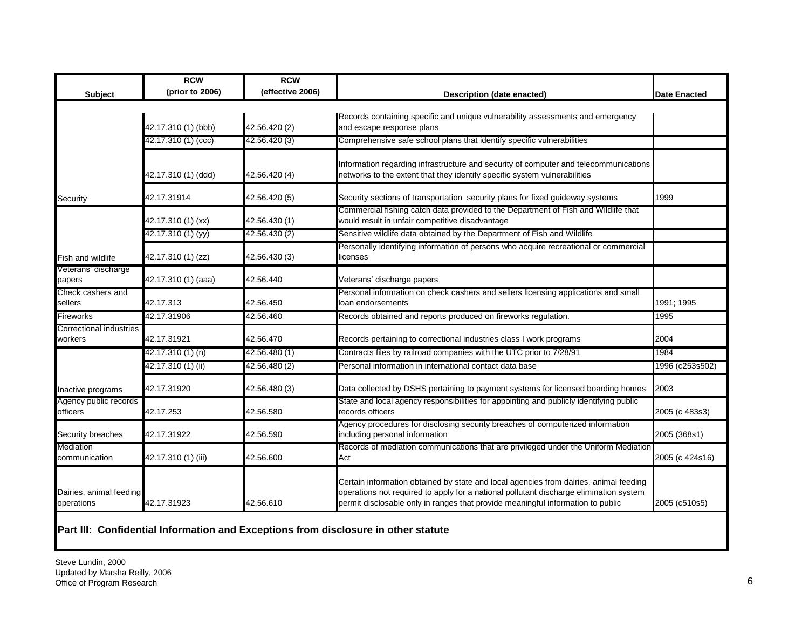|                                           | <b>RCW</b>          | <b>RCW</b>       |                                                                                                                                                                                                                                                                    |                     |
|-------------------------------------------|---------------------|------------------|--------------------------------------------------------------------------------------------------------------------------------------------------------------------------------------------------------------------------------------------------------------------|---------------------|
| Subject                                   | (prior to 2006)     | (effective 2006) | <b>Description (date enacted)</b>                                                                                                                                                                                                                                  | <b>Date Enacted</b> |
|                                           |                     |                  | Records containing specific and unique vulnerability assessments and emergency                                                                                                                                                                                     |                     |
|                                           | 42.17.310 (1) (bbb) | 42.56.420 (2)    | and escape response plans                                                                                                                                                                                                                                          |                     |
|                                           | 42.17.310 (1) (ccc) | 42.56.420 (3)    | Comprehensive safe school plans that identify specific vulnerabilities                                                                                                                                                                                             |                     |
|                                           |                     |                  | Information regarding infrastructure and security of computer and telecommunications                                                                                                                                                                               |                     |
|                                           | 42.17.310 (1) (ddd) | 42.56.420 (4)    | networks to the extent that they identify specific system vulnerabilities                                                                                                                                                                                          |                     |
| Security                                  | 42.17.31914         | 42.56.420 (5)    | Security sections of transportation security plans for fixed guideway systems                                                                                                                                                                                      | 1999                |
|                                           | 42.17.310 (1) (xx)  | 42.56.430 (1)    | Commercial fishing catch data provided to the Department of Fish and Wildlife that<br>would result in unfair competitive disadvantage                                                                                                                              |                     |
|                                           | 42.17.310 (1) (yy)  | 42.56.430 (2)    | Sensitive wildlife data obtained by the Department of Fish and Wildlife                                                                                                                                                                                            |                     |
| Fish and wildlife                         | 42.17.310 (1) (zz)  | 42.56.430 (3)    | Personally identifying information of persons who acquire recreational or commercial<br>licenses                                                                                                                                                                   |                     |
| Veterans' discharge<br>papers             | 42.17.310 (1) (aaa) | 42.56.440        | Veterans' discharge papers                                                                                                                                                                                                                                         |                     |
| Check cashers and<br>sellers              | 42.17.313           | 42.56.450        | Personal information on check cashers and sellers licensing applications and small<br>loan endorsements                                                                                                                                                            | 1991: 1995          |
| Fireworks                                 | 42.17.31906         | 42.56.460        | Records obtained and reports produced on fireworks regulation.                                                                                                                                                                                                     | 1995                |
| <b>Correctional industries</b><br>workers | 42.17.31921         | 42.56.470        | Records pertaining to correctional industries class I work programs                                                                                                                                                                                                | 2004                |
|                                           | 42.17.310 (1) (n)   | 42.56.480 (1)    | Contracts files by railroad companies with the UTC prior to 7/28/91                                                                                                                                                                                                | 1984                |
|                                           | 42.17.310 (1) (ii)  | 42.56.480 (2)    | Personal information in international contact data base                                                                                                                                                                                                            | 1996 (c253s502)     |
| Inactive programs                         | 42.17.31920         | 42.56.480 (3)    | Data collected by DSHS pertaining to payment systems for licensed boarding homes                                                                                                                                                                                   | 2003                |
| Agency public records<br>officers         | 42.17.253           | 42.56.580        | State and local agency responsibilities for appointing and publicly identifying public<br>records officers                                                                                                                                                         | 2005 (c 483s3)      |
| Security breaches                         | 42.17.31922         | 42.56.590        | Agency procedures for disclosing security breaches of computerized information<br>including personal information                                                                                                                                                   | 2005 (368s1)        |
| Mediation<br>communication                | 42.17.310 (1) (iii) | 42.56.600        | Records of mediation communications that are privileged under the Uniform Mediation<br>Act                                                                                                                                                                         | 2005 (c 424s16)     |
| Dairies, animal feeding<br>operations     | 42.17.31923         | 42.56.610        | Certain information obtained by state and local agencies from dairies, animal feeding<br>operations not required to apply for a national pollutant discharge elimination system<br>permit disclosable only in ranges that provide meaningful information to public | 2005 (c510s5)       |

## **Part III: Confidential Information and Exceptions from disclosure in other statute**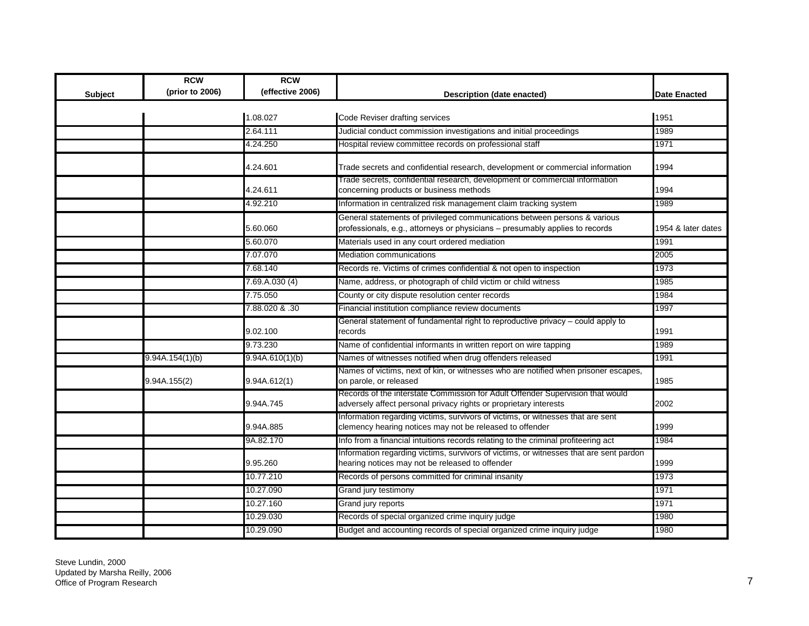|                | <b>RCW</b><br>(prior to 2006) | <b>RCW</b><br>(effective 2006) |                                                                                                                                                           |                     |
|----------------|-------------------------------|--------------------------------|-----------------------------------------------------------------------------------------------------------------------------------------------------------|---------------------|
| <b>Subject</b> |                               |                                | Description (date enacted)                                                                                                                                | <b>Date Enacted</b> |
|                |                               | 1.08.027                       | Code Reviser drafting services                                                                                                                            | 1951                |
|                |                               | 2.64.111                       | Judicial conduct commission investigations and initial proceedings                                                                                        | 1989                |
|                |                               | 4.24.250                       | Hospital review committee records on professional staff                                                                                                   | 1971                |
|                |                               | 4.24.601                       | Trade secrets and confidential research, development or commercial information                                                                            | 1994                |
|                |                               | 4.24.611                       | Trade secrets, confidential research, development or commercial information<br>concerning products or business methods                                    | 1994                |
|                |                               | 4.92.210                       | Information in centralized risk management claim tracking system                                                                                          | 1989                |
|                |                               | 5.60.060                       | General statements of privileged communications between persons & various<br>professionals, e.g., attorneys or physicians - presumably applies to records | 1954 & later dates  |
|                |                               | 5.60.070                       | Materials used in any court ordered mediation                                                                                                             | 1991                |
|                |                               | 7.07.070                       | <b>Mediation communications</b>                                                                                                                           | 2005                |
|                |                               | 7.68.140                       | Records re. Victims of crimes confidential & not open to inspection                                                                                       | 1973                |
|                |                               | 7.69.A.030(4)                  | Name, address, or photograph of child victim or child witness                                                                                             | 1985                |
|                |                               | 7.75.050                       | County or city dispute resolution center records                                                                                                          | 1984                |
|                |                               | 7.88.020 & .30                 | Financial institution compliance review documents                                                                                                         | 1997                |
|                |                               | 9.02.100                       | General statement of fundamental right to reproductive privacy - could apply to<br>records                                                                | 1991                |
|                |                               | 9.73.230                       | Name of confidential informants in written report on wire tapping                                                                                         | 1989                |
|                | 9.94A.154(1)(b)               | 9.94A.610(1)(b)                | Names of witnesses notified when drug offenders released                                                                                                  | 1991                |
|                | 9.94A.155(2)                  | 9.94A.612(1)                   | Names of victims, next of kin, or witnesses who are notified when prisoner escapes,<br>on parole, or released                                             | 1985                |
|                |                               | 9.94A.745                      | Records of the interstate Commission for Adult Offender Supervision that would<br>adversely affect personal privacy rights or proprietary interests       | 2002                |
|                |                               | 9.94A.885                      | Information regarding victims, survivors of victims, or witnesses that are sent<br>clemency hearing notices may not be released to offender               | 1999                |
|                |                               | 9A.82.170                      | Info from a financial intuitions records relating to the criminal profiteering act                                                                        | 1984                |
|                |                               | 9.95.260                       | Information regarding victims, survivors of victims, or witnesses that are sent pardon<br>hearing notices may not be released to offender                 | 1999                |
|                |                               | 10.77.210                      | Records of persons committed for criminal insanity                                                                                                        | 1973                |
|                |                               | 10.27.090                      | Grand jury testimony                                                                                                                                      | 1971                |
|                |                               | 10.27.160                      | Grand jury reports                                                                                                                                        | 1971                |
|                |                               | 10.29.030                      | Records of special organized crime inquiry judge                                                                                                          | 1980                |
|                |                               | 10.29.090                      | Budget and accounting records of special organized crime inquiry judge                                                                                    | 1980                |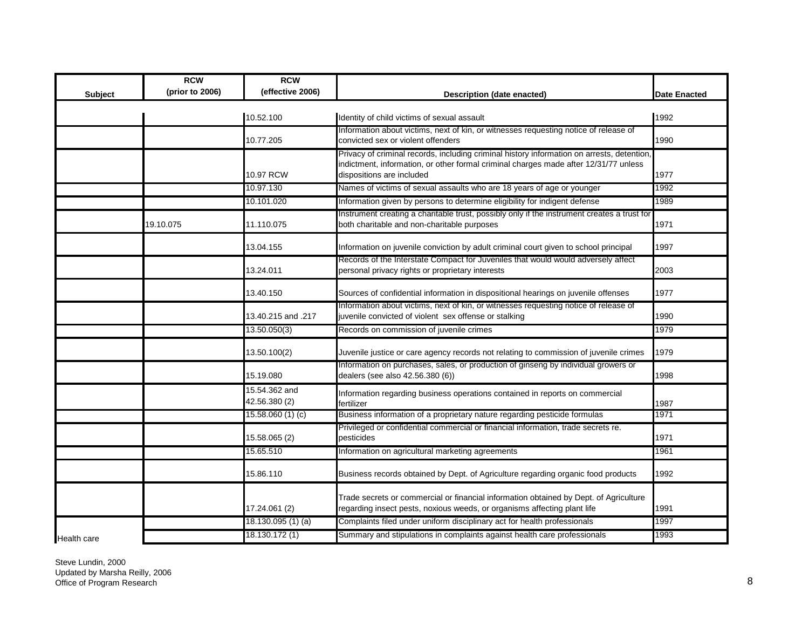|             | <b>RCW</b><br>(prior to 2006) | <b>RCW</b><br>(effective 2006) |                                                                                                                                                                                                                 |                     |
|-------------|-------------------------------|--------------------------------|-----------------------------------------------------------------------------------------------------------------------------------------------------------------------------------------------------------------|---------------------|
| Subject     |                               |                                | Description (date enacted)                                                                                                                                                                                      | <b>Date Enacted</b> |
|             |                               | 10.52.100                      | Identity of child victims of sexual assault                                                                                                                                                                     | 1992                |
|             |                               | 10.77.205                      | Information about victims, next of kin, or witnesses requesting notice of release of<br>convicted sex or violent offenders                                                                                      | 1990                |
|             |                               | 10.97 RCW                      | Privacy of criminal records, including criminal history information on arrests, detention,<br>indictment, information, or other formal criminal charges made after 12/31/77 unless<br>dispositions are included | 1977                |
|             |                               | 10.97.130                      | Names of victims of sexual assaults who are 18 years of age or younger                                                                                                                                          | 1992                |
|             |                               | 10.101.020                     | Information given by persons to determine eligibility for indigent defense                                                                                                                                      | 1989                |
|             | 19.10.075                     | 11.110.075                     | Instrument creating a charitable trust, possibly only if the instrument creates a trust for<br>both charitable and non-charitable purposes                                                                      | 1971                |
|             |                               | 13.04.155                      | Information on juvenile conviction by adult criminal court given to school principal                                                                                                                            | 1997                |
|             |                               | 13.24.011                      | Records of the Interstate Compact for Juveniles that would would adversely affect<br>personal privacy rights or proprietary interests                                                                           | 2003                |
|             |                               | 13.40.150                      | Sources of confidential information in dispositional hearings on juvenile offenses                                                                                                                              | 1977                |
|             |                               | 13.40.215 and .217             | Information about victims, next of kin, or witnesses requesting notice of release of<br>juvenile convicted of violent sex offense or stalking                                                                   | 1990                |
|             |                               | 13.50.050(3)                   | Records on commission of juvenile crimes                                                                                                                                                                        | 1979                |
|             |                               | 13.50.100(2)                   | Juvenile justice or care agency records not relating to commission of juvenile crimes                                                                                                                           | 1979                |
|             |                               | 15.19.080                      | Information on purchases, sales, or production of ginseng by individual growers or<br>dealers (see also 42.56.380 (6))                                                                                          | 1998                |
|             |                               | 15.54.362 and<br>42.56.380 (2) | Information regarding business operations contained in reports on commercial<br>fertilizer                                                                                                                      | 1987                |
|             |                               | 15.58.060(1)(c)                | Business information of a proprietary nature regarding pesticide formulas                                                                                                                                       | 1971                |
|             |                               | 15.58.065 (2)                  | Privileged or confidential commercial or financial information, trade secrets re.<br>pesticides                                                                                                                 | 1971                |
|             |                               | 15.65.510                      | Information on agricultural marketing agreements                                                                                                                                                                | 1961                |
|             |                               | 15.86.110                      | Business records obtained by Dept. of Agriculture regarding organic food products                                                                                                                               | 1992                |
|             |                               | 17.24.061 (2)                  | Trade secrets or commercial or financial information obtained by Dept. of Agriculture<br>regarding insect pests, noxious weeds, or organisms affecting plant life                                               | 1991                |
|             |                               | 18.130.095 (1) (a)             | Complaints filed under uniform disciplinary act for health professionals                                                                                                                                        | 1997                |
| Health care |                               | 18.130.172 (1)                 | Summary and stipulations in complaints against health care professionals                                                                                                                                        | 1993                |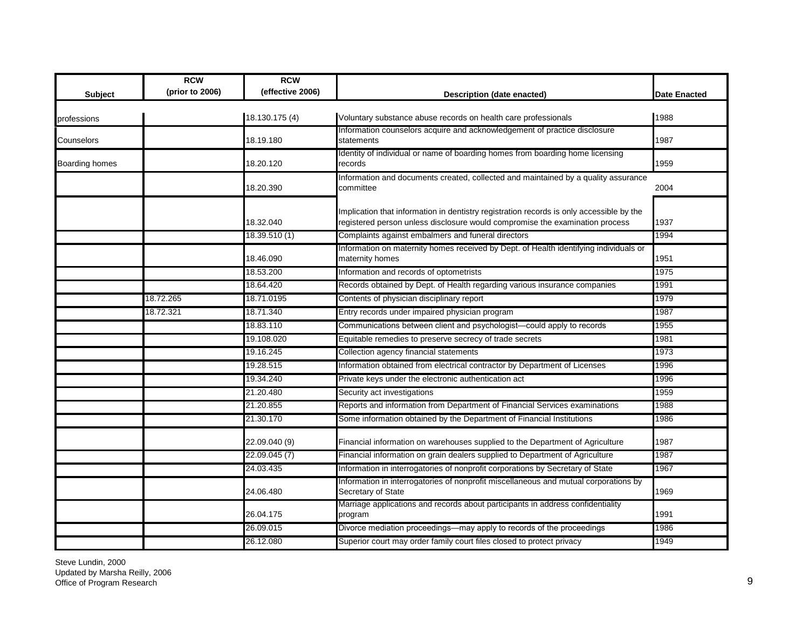| <b>Subject</b>        | <b>RCW</b><br>(prior to 2006) | <b>RCW</b><br>(effective 2006) | <b>Description (date enacted)</b>                                                                                                                                        | <b>Date Enacted</b> |
|-----------------------|-------------------------------|--------------------------------|--------------------------------------------------------------------------------------------------------------------------------------------------------------------------|---------------------|
| professions           |                               | 18.130.175 (4)                 | Voluntary substance abuse records on health care professionals                                                                                                           | 1988                |
| Counselors            |                               | 18.19.180                      | Information counselors acquire and acknowledgement of practice disclosure<br>statements                                                                                  | 1987                |
| <b>Boarding homes</b> |                               | 18.20.120                      | Identity of individual or name of boarding homes from boarding home licensing<br>records                                                                                 | 1959                |
|                       |                               | 18.20.390                      | Information and documents created, collected and maintained by a quality assurance<br>committee                                                                          | 2004                |
|                       |                               | 18.32.040                      | Implication that information in dentistry registration records is only accessible by the<br>registered person unless disclosure would compromise the examination process | 1937                |
|                       |                               | 18.39.510 (1)                  | Complaints against embalmers and funeral directors                                                                                                                       | 1994                |
|                       |                               | 18.46.090                      | Information on maternity homes received by Dept. of Health identifying individuals or<br>maternity homes                                                                 | 1951                |
|                       |                               | 18.53.200                      | Information and records of optometrists                                                                                                                                  | 1975                |
|                       |                               | 18.64.420                      | Records obtained by Dept. of Health regarding various insurance companies                                                                                                | 1991                |
|                       | 18.72.265                     | 18.71.0195                     | Contents of physician disciplinary report                                                                                                                                | 1979                |
|                       | 18.72.321                     | 18.71.340                      | Entry records under impaired physician program                                                                                                                           | 1987                |
|                       |                               | 18.83.110                      | Communications between client and psychologist-could apply to records                                                                                                    | 1955                |
|                       |                               | 19.108.020                     | Equitable remedies to preserve secrecy of trade secrets                                                                                                                  | 1981                |
|                       |                               | 19.16.245                      | Collection agency financial statements                                                                                                                                   | 1973                |
|                       |                               | 19.28.515                      | Information obtained from electrical contractor by Department of Licenses                                                                                                | 1996                |
|                       |                               | 19.34.240                      | Private keys under the electronic authentication act                                                                                                                     | 1996                |
|                       |                               | 21.20.480                      | Security act investigations                                                                                                                                              | 1959                |
|                       |                               | 21.20.855                      | Reports and information from Department of Financial Services examinations                                                                                               | 1988                |
|                       |                               | 21.30.170                      | Some information obtained by the Department of Financial Institutions                                                                                                    | 1986                |
|                       |                               | 22.09.040 (9)                  | Financial information on warehouses supplied to the Department of Agriculture                                                                                            | 1987                |
|                       |                               | 22.09.045 (7)                  | Financial information on grain dealers supplied to Department of Agriculture                                                                                             | 1987                |
|                       |                               | 24.03.435                      | Information in interrogatories of nonprofit corporations by Secretary of State                                                                                           | 1967                |
|                       |                               | 24.06.480                      | Information in interrogatories of nonprofit miscellaneous and mutual corporations by<br>Secretary of State                                                               | 1969                |
|                       |                               | 26.04.175                      | Marriage applications and records about participants in address confidentiality<br>program                                                                               | 1991                |
|                       |                               | 26.09.015                      | Divorce mediation proceedings—may apply to records of the proceedings                                                                                                    | 1986                |
|                       |                               | 26.12.080                      | Superior court may order family court files closed to protect privacy                                                                                                    | 1949                |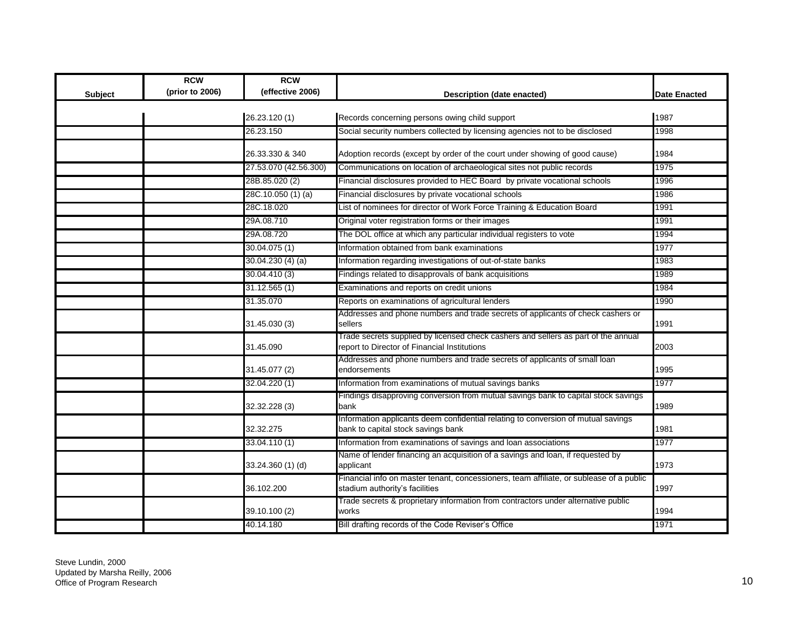|                | <b>RCW</b>      | <b>RCW</b>            |                                                                                                                                    |                     |
|----------------|-----------------|-----------------------|------------------------------------------------------------------------------------------------------------------------------------|---------------------|
| <b>Subject</b> | (prior to 2006) | (effective 2006)      | Description (date enacted)                                                                                                         | <b>Date Enacted</b> |
|                |                 |                       |                                                                                                                                    |                     |
|                |                 | 26.23.120 (1)         | Records concerning persons owing child support                                                                                     | 1987                |
|                |                 | 26.23.150             | Social security numbers collected by licensing agencies not to be disclosed                                                        | 1998                |
|                |                 | 26.33.330 & 340       | Adoption records (except by order of the court under showing of good cause)                                                        | 1984                |
|                |                 | 27.53.070 (42.56.300) | Communications on location of archaeological sites not public records                                                              | 1975                |
|                |                 | 28B.85.020 (2)        | Financial disclosures provided to HEC Board by private vocational schools                                                          | 1996                |
|                |                 | 28C.10.050 (1) (a)    | Financial disclosures by private vocational schools                                                                                | 1986                |
|                |                 | 28C.18.020            | List of nominees for director of Work Force Training & Education Board                                                             | 1991                |
|                |                 | 29A.08.710            | Original voter registration forms or their images                                                                                  | 1991                |
|                |                 | 29A.08.720            | The DOL office at which any particular individual registers to vote                                                                | 1994                |
|                |                 | 30.04.075(1)          | Information obtained from bank examinations                                                                                        | 1977                |
|                |                 | 30.04.230 (4) (a)     | Information regarding investigations of out-of-state banks                                                                         | 1983                |
|                |                 | 30.04.410 (3)         | Findings related to disapprovals of bank acquisitions                                                                              | 1989                |
|                |                 | 31.12.565(1)          | Examinations and reports on credit unions                                                                                          | 1984                |
|                |                 | 31.35.070             | Reports on examinations of agricultural lenders                                                                                    | 1990                |
|                |                 | 31.45.030 (3)         | Addresses and phone numbers and trade secrets of applicants of check cashers or<br>sellers                                         | 1991                |
|                |                 | 31.45.090             | Trade secrets supplied by licensed check cashers and sellers as part of the annual<br>report to Director of Financial Institutions | 2003                |
|                |                 | 31.45.077 (2)         | Addresses and phone numbers and trade secrets of applicants of small loan<br>endorsements                                          | 1995                |
|                |                 | 32.04.220 (1)         | Information from examinations of mutual savings banks                                                                              | 1977                |
|                |                 | 32.32.228 (3)         | Findings disapproving conversion from mutual savings bank to capital stock savings<br>bank                                         | 1989                |
|                |                 | 32.32.275             | Information applicants deem confidential relating to conversion of mutual savings<br>bank to capital stock savings bank            | 1981                |
|                |                 | 33.04.110 (1)         | Information from examinations of savings and loan associations                                                                     | 1977                |
|                |                 | 33.24.360 (1) (d)     | Name of lender financing an acquisition of a savings and loan, if requested by<br>applicant                                        | 1973                |
|                |                 | 36.102.200            | Financial info on master tenant, concessioners, team affiliate, or sublease of a public<br>stadium authority's facilities          | 1997                |
|                |                 | 39.10.100 (2)         | Trade secrets & proprietary information from contractors under alternative public<br>works                                         | 1994                |
|                |                 | 40.14.180             | Bill drafting records of the Code Reviser's Office                                                                                 | 1971                |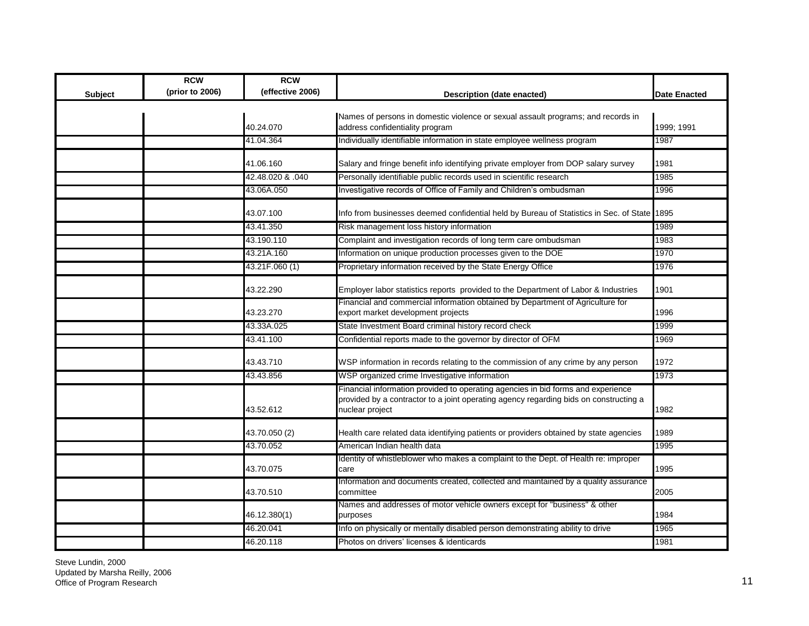| <b>Subject</b> | <b>RCW</b><br>(prior to 2006) | <b>RCW</b><br>(effective 2006) | Description (date enacted)                                                                                                                                                                   | <b>Date Enacted</b> |
|----------------|-------------------------------|--------------------------------|----------------------------------------------------------------------------------------------------------------------------------------------------------------------------------------------|---------------------|
|                |                               |                                |                                                                                                                                                                                              |                     |
|                |                               | 40.24.070                      | Names of persons in domestic violence or sexual assault programs; and records in<br>address confidentiality program                                                                          | 1999; 1991          |
|                |                               | 41.04.364                      | Individually identifiable information in state employee wellness program                                                                                                                     | 1987                |
|                |                               |                                |                                                                                                                                                                                              |                     |
|                |                               | 41.06.160                      | Salary and fringe benefit info identifying private employer from DOP salary survey                                                                                                           | 1981                |
|                |                               | 42.48.020 & .040               | Personally identifiable public records used in scientific research                                                                                                                           | 1985                |
|                |                               | 43.06A.050                     | Investigative records of Office of Family and Children's ombudsman                                                                                                                           | 1996                |
|                |                               | 43.07.100                      | Info from businesses deemed confidential held by Bureau of Statistics in Sec. of State                                                                                                       | 1895                |
|                |                               | 43.41.350                      | Risk management loss history information                                                                                                                                                     | 1989                |
|                |                               | 43.190.110                     | Complaint and investigation records of long term care ombudsman                                                                                                                              | 1983                |
|                |                               | 43.21A.160                     | Information on unique production processes given to the DOE                                                                                                                                  | 1970                |
|                |                               | 43.21F.060 (1)                 | Proprietary information received by the State Energy Office                                                                                                                                  | 1976                |
|                |                               | 43.22.290                      | Employer labor statistics reports provided to the Department of Labor & Industries                                                                                                           | 1901                |
|                |                               | 43.23.270                      | Financial and commercial information obtained by Department of Agriculture for<br>export market development projects                                                                         | 1996                |
|                |                               | 43.33A.025                     | State Investment Board criminal history record check                                                                                                                                         | 1999                |
|                |                               | 43.41.100                      | Confidential reports made to the governor by director of OFM                                                                                                                                 | 1969                |
|                |                               | 43.43.710                      | WSP information in records relating to the commission of any crime by any person                                                                                                             | 1972                |
|                |                               | 43.43.856                      | WSP organized crime Investigative information                                                                                                                                                | 1973                |
|                |                               | 43.52.612                      | Financial information provided to operating agencies in bid forms and experience<br>provided by a contractor to a joint operating agency regarding bids on constructing a<br>nuclear project | 1982                |
|                |                               | 43.70.050 (2)                  | Health care related data identifying patients or providers obtained by state agencies                                                                                                        | 1989                |
|                |                               | 43.70.052                      | American Indian health data                                                                                                                                                                  | 1995                |
|                |                               | 43.70.075                      | Identity of whistleblower who makes a complaint to the Dept. of Health re: improper<br>care                                                                                                  | 1995                |
|                |                               | 43.70.510                      | Information and documents created, collected and maintained by a quality assurance<br>committee                                                                                              | 2005                |
|                |                               | 46.12.380(1)                   | Names and addresses of motor vehicle owners except for "business" & other<br>purposes                                                                                                        | 1984                |
|                |                               | 46.20.041                      | Info on physically or mentally disabled person demonstrating ability to drive                                                                                                                | 1965                |
|                |                               | 46.20.118                      | Photos on drivers' licenses & identicards                                                                                                                                                    | 1981                |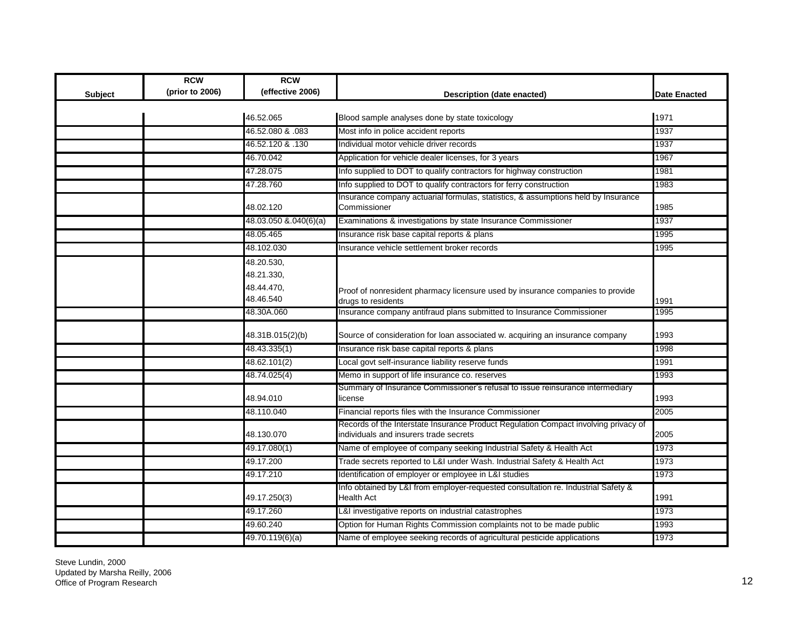|         | <b>RCW</b>      | <b>RCW</b>            |                                                                                                                               |                     |
|---------|-----------------|-----------------------|-------------------------------------------------------------------------------------------------------------------------------|---------------------|
| Subject | (prior to 2006) | (effective 2006)      | Description (date enacted)                                                                                                    | <b>Date Enacted</b> |
|         |                 |                       |                                                                                                                               |                     |
|         |                 | 46.52.065             | Blood sample analyses done by state toxicology                                                                                | 1971                |
|         |                 | 46.52.080 & .083      | Most info in police accident reports                                                                                          | 1937                |
|         |                 | 46.52.120 & .130      | Individual motor vehicle driver records                                                                                       | 1937                |
|         |                 | 46.70.042             | Application for vehicle dealer licenses, for 3 years                                                                          | 1967                |
|         |                 | 47.28.075             | Info supplied to DOT to qualify contractors for highway construction                                                          | 1981                |
|         |                 | 47.28.760             | Info supplied to DOT to qualify contractors for ferry construction                                                            | 1983                |
|         |                 | 48.02.120             | Insurance company actuarial formulas, statistics, & assumptions held by Insurance<br>Commissioner                             | 1985                |
|         |                 | 48.03.050 &.040(6)(a) | Examinations & investigations by state Insurance Commissioner                                                                 | 1937                |
|         |                 | 48.05.465             | Insurance risk base capital reports & plans                                                                                   | 1995                |
|         |                 | 48.102.030            | Insurance vehicle settlement broker records                                                                                   | 1995                |
|         |                 | 48.20.530,            |                                                                                                                               |                     |
|         |                 | 48.21.330,            |                                                                                                                               |                     |
|         |                 | 48.44.470,            | Proof of nonresident pharmacy licensure used by insurance companies to provide                                                |                     |
|         |                 | 48.46.540             | drugs to residents                                                                                                            | 1991                |
|         |                 | 48.30A.060            | Insurance company antifraud plans submitted to Insurance Commissioner                                                         | 1995                |
|         |                 | 48.31B.015(2)(b)      | Source of consideration for loan associated w. acquiring an insurance company                                                 | 1993                |
|         |                 | 48.43.335(1)          | Insurance risk base capital reports & plans                                                                                   | 1998                |
|         |                 | 48.62.101(2)          | Local govt self-insurance liability reserve funds                                                                             | 1991                |
|         |                 | 48.74.025(4)          | Memo in support of life insurance co. reserves                                                                                | 1993                |
|         |                 | 48.94.010             | Summary of Insurance Commissioner's refusal to issue reinsurance intermediary<br>icense                                       | 1993                |
|         |                 | 48.110.040            | Financial reports files with the Insurance Commissioner                                                                       | 2005                |
|         |                 | 48.130.070            | Records of the Interstate Insurance Product Regulation Compact involving privacy of<br>individuals and insurers trade secrets | 2005                |
|         |                 | 49.17.080(1)          | Name of employee of company seeking Industrial Safety & Health Act                                                            | 1973                |
|         |                 |                       |                                                                                                                               |                     |
|         |                 | 49.17.200             | Trade secrets reported to L&I under Wash. Industrial Safety & Health Act                                                      | 1973                |
|         |                 | 49.17.210             | Identification of employer or employee in L&I studies                                                                         | 1973                |
|         |                 | 49.17.250(3)          | Info obtained by L&I from employer-requested consultation re. Industrial Safety &<br>Health Act                               | 1991                |
|         |                 | 49.17.260             | L&I investigative reports on industrial catastrophes                                                                          | 1973                |
|         |                 | 49.60.240             | Option for Human Rights Commission complaints not to be made public                                                           | 1993                |
|         |                 | 49.70.119(6)(a)       | Name of employee seeking records of agricultural pesticide applications                                                       | 1973                |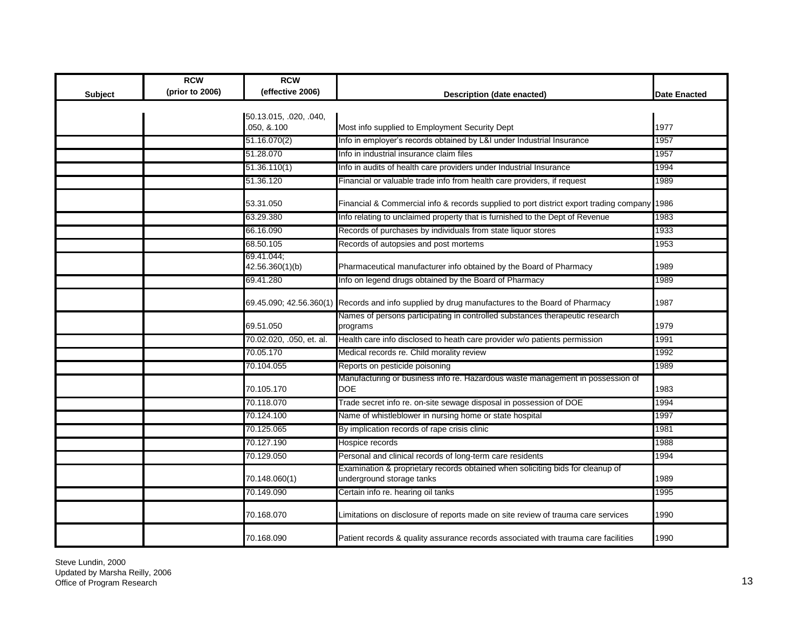|         | <b>RCW</b>      | <b>RCW</b>                           |                                                                                                             |                     |
|---------|-----------------|--------------------------------------|-------------------------------------------------------------------------------------------------------------|---------------------|
| Subject | (prior to 2006) | (effective 2006)                     | Description (date enacted)                                                                                  | <b>Date Enacted</b> |
|         |                 |                                      |                                                                                                             |                     |
|         |                 | 50.13.015, .020, .040,<br>050, &.100 | Most info supplied to Employment Security Dept                                                              | 1977                |
|         |                 | 51.16.070(2)                         | Info in employer's records obtained by L&I under Industrial Insurance                                       | 1957                |
|         |                 | 51.28.070                            | Info in industrial insurance claim files                                                                    | 1957                |
|         |                 | 51.36.110(1)                         | Info in audits of health care providers under Industrial Insurance                                          | 1994                |
|         |                 | 51.36.120                            | Financial or valuable trade info from health care providers, if request                                     | 1989                |
|         |                 | 53.31.050                            | Financial & Commercial info & records supplied to port district export trading company 1986                 |                     |
|         |                 | 63.29.380                            | Info relating to unclaimed property that is furnished to the Dept of Revenue                                | 1983                |
|         |                 | 66.16.090                            | Records of purchases by individuals from state liquor stores                                                | 1933                |
|         |                 | 68.50.105                            | Records of autopsies and post mortems                                                                       | 1953                |
|         |                 | 69.41.044;                           |                                                                                                             |                     |
|         |                 | 42.56.360(1)(b)                      | Pharmaceutical manufacturer info obtained by the Board of Pharmacy                                          | 1989                |
|         |                 | 69.41.280                            | Info on legend drugs obtained by the Board of Pharmacy                                                      | 1989                |
|         |                 |                                      | 69.45.090; 42.56.360(1) Records and info supplied by drug manufactures to the Board of Pharmacy             | 1987                |
|         |                 | 69.51.050                            | Names of persons participating in controlled substances therapeutic research<br>programs                    | 1979                |
|         |                 | 70.02.020, .050, et. al.             | Health care info disclosed to heath care provider w/o patients permission                                   | 1991                |
|         |                 | 70.05.170                            | Medical records re. Child morality review                                                                   | 1992                |
|         |                 | 70.104.055                           | Reports on pesticide poisoning                                                                              | 1989                |
|         |                 | 70.105.170                           | Manufacturing or business info re. Hazardous waste management in possession of<br><b>DOE</b>                | 1983                |
|         |                 | 70.118.070                           | Trade secret info re. on-site sewage disposal in possession of DOE                                          | 1994                |
|         |                 | 70.124.100                           | Name of whistleblower in nursing home or state hospital                                                     | 1997                |
|         |                 | 70.125.065                           | By implication records of rape crisis clinic                                                                | 1981                |
|         |                 | 70.127.190                           | Hospice records                                                                                             | 1988                |
|         |                 | 70.129.050                           | Personal and clinical records of long-term care residents                                                   | 1994                |
|         |                 | 70.148.060(1)                        | Examination & proprietary records obtained when soliciting bids for cleanup of<br>underground storage tanks | 1989                |
|         |                 | 70.149.090                           | Certain info re. hearing oil tanks                                                                          | 1995                |
|         |                 | 70.168.070                           | Limitations on disclosure of reports made on site review of trauma care services                            | 1990                |
|         |                 | 70.168.090                           | Patient records & quality assurance records associated with trauma care facilities                          | 1990                |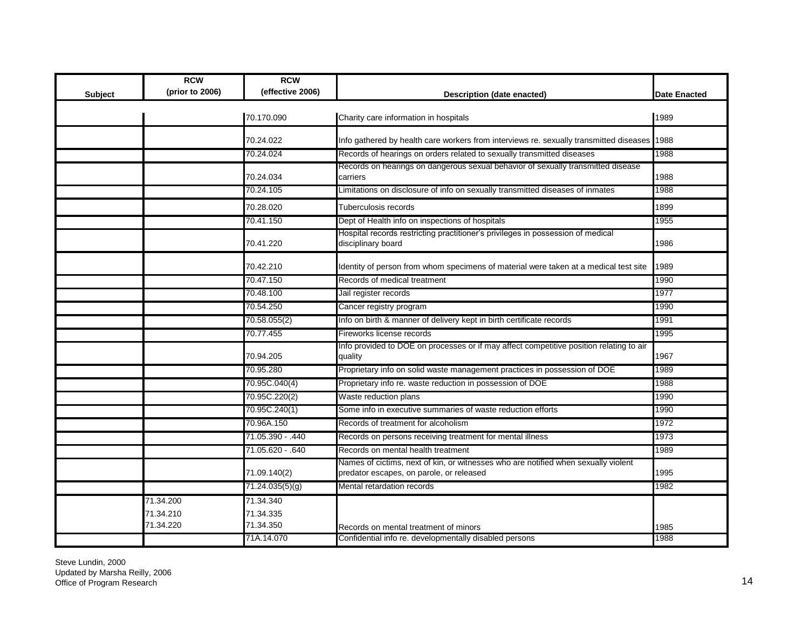| Subject | <b>RCW</b><br>(prior to 2006)       | <b>RCW</b><br>(effective 2006)      | <b>Description (date enacted)</b>                                                                                              | <b>Date Enacted</b> |
|---------|-------------------------------------|-------------------------------------|--------------------------------------------------------------------------------------------------------------------------------|---------------------|
|         |                                     | 70.170.090                          | Charity care information in hospitals                                                                                          | 1989                |
|         |                                     | 70.24.022                           | Info gathered by health care workers from interviews re. sexually transmitted diseases                                         | 1988                |
|         |                                     | 70.24.024                           | Records of hearings on orders related to sexually transmitted diseases                                                         | 1988                |
|         |                                     | 70.24.034                           | Records on hearings on dangerous sexual behavior of sexually transmitted disease<br>carriers                                   | 1988                |
|         |                                     | 70.24.105                           | Limitations on disclosure of info on sexually transmitted diseases of inmates                                                  | 1988                |
|         |                                     | 70.28.020                           | Tuberculosis records                                                                                                           | 1899                |
|         |                                     | 70.41.150                           | Dept of Health info on inspections of hospitals                                                                                | 1955                |
|         |                                     | 70.41.220                           | Hospital records restricting practitioner's privileges in possession of medical<br>disciplinary board                          | 1986                |
|         |                                     | 70.42.210                           | Identity of person from whom specimens of material were taken at a medical test site                                           | 1989                |
|         |                                     | 70.47.150                           | Records of medical treatment                                                                                                   | 1990                |
|         |                                     | 70.48.100                           | Jail register records                                                                                                          | 1977                |
|         |                                     | 70.54.250                           | Cancer registry program                                                                                                        | 1990                |
|         |                                     | 70.58.055(2)                        | Info on birth & manner of delivery kept in birth certificate records                                                           | 1991                |
|         |                                     | 70.77.455                           | Fireworks license records                                                                                                      | 1995                |
|         |                                     | 70.94.205                           | Info provided to DOE on processes or if may affect competitive position relating to air<br>quality                             | 1967                |
|         |                                     | 70.95.280                           | Proprietary info on solid waste management practices in possession of DOE                                                      | 1989                |
|         |                                     | 70.95C.040(4)                       | Proprietary info re. waste reduction in possession of DOE                                                                      | 1988                |
|         |                                     | 70.95C.220(2)                       | Waste reduction plans                                                                                                          | 1990                |
|         |                                     | 70.95C.240(1)                       | Some info in executive summaries of waste reduction efforts                                                                    | 1990                |
|         |                                     | 70.96A.150                          | Records of treatment for alcoholism                                                                                            | 1972                |
|         |                                     | 71.05.390 - .440                    | Records on persons receiving treatment for mental illness                                                                      | 1973                |
|         |                                     | 71.05.620 - .640                    | Records on mental health treatment                                                                                             | 1989                |
|         |                                     | 71.09.140(2)                        | Names of cictims, next of kin, or witnesses who are notified when sexually violent<br>predator escapes, on parole, or released | 1995                |
|         |                                     | 71.24.035(5)(g)                     | Mental retardation records                                                                                                     | 1982                |
|         | 71.34.200<br>71.34.210<br>71.34.220 | 71.34.340<br>71.34.335<br>71.34.350 | Records on mental treatment of minors                                                                                          | 1985                |
|         |                                     | 71A.14.070                          | Confidential info re. developmentally disabled persons                                                                         | 1988                |